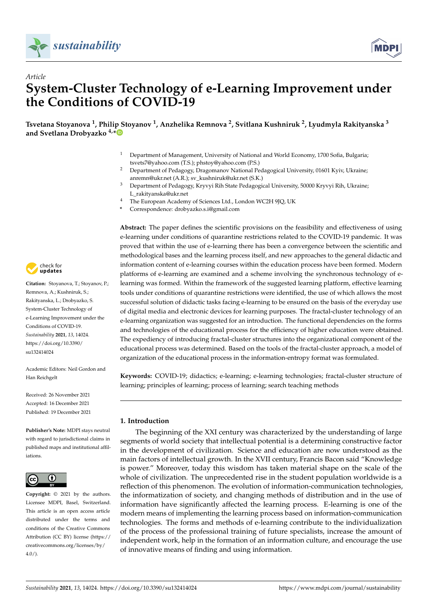



# *Article* **System-Cluster Technology of e-Learning Improvement under the Conditions of COVID-19**

**Tsvetana Stoyanova <sup>1</sup> , Philip Stoyanov <sup>1</sup> , Anzhelika Remnova <sup>2</sup> , Svitlana Kushniruk <sup>2</sup> , Lyudmyla Rakityanska <sup>3</sup> and Svetlana Drobyazko 4,[\\*](https://orcid.org/0000-0003-2022-0126)**

- <sup>1</sup> Department of Management, University of National and World Economy, 1700 Sofia, Bulgaria; tsvets7@yahoo.com (T.S.); phstoy@yahoo.com (P.S.)
- <sup>2</sup> Department of Pedagogy, Dragomanov National Pedagogical University, 01601 Kyiv, Ukraine; anremn@ukr.net (A.R.); sv\_kushniruk@ukr.net (S.K.)
- <sup>3</sup> Department of Pedagogy, Kryvyi Rih State Pedagogical University, 50000 Kryvyi Rih, Ukraine; L\_rakityanska@ukr.net
- <sup>4</sup> The European Academy of Sciences Ltd., London WC2H 9JQ, UK
- **\*** Correspondence: drobyazko.s.i@gmail.com

**Abstract:** The paper defines the scientific provisions on the feasibility and effectiveness of using e-learning under conditions of quarantine restrictions related to the COVID-19 pandemic. It was proved that within the use of e-learning there has been a convergence between the scientific and methodological bases and the learning process itself, and new approaches to the general didactic and information content of e-learning courses within the education process have been formed. Modern platforms of e-learning are examined and a scheme involving the synchronous technology of elearning was formed. Within the framework of the suggested learning platform, effective learning tools under conditions of quarantine restrictions were identified, the use of which allows the most successful solution of didactic tasks facing e-learning to be ensured on the basis of the everyday use of digital media and electronic devices for learning purposes. The fractal-cluster technology of an e-learning organization was suggested for an introduction. The functional dependencies on the forms and technologies of the educational process for the efficiency of higher education were obtained. The expediency of introducing fractal-cluster structures into the organizational component of the educational process was determined. Based on the tools of the fractal-cluster approach, a model of organization of the educational process in the information-entropy format was formulated.

**Keywords:** COVID-19; didactics; e-learning; e-learning technologies; fractal-cluster structure of learning; principles of learning; process of learning; search teaching methods

## **1. Introduction**

The beginning of the XXI century was characterized by the understanding of large segments of world society that intellectual potential is a determining constructive factor in the development of civilization. Science and education are now understood as the main factors of intellectual growth. In the XVII century, Francis Bacon said "Knowledge is power." Moreover, today this wisdom has taken material shape on the scale of the whole of civilization. The unprecedented rise in the student population worldwide is a reflection of this phenomenon. The evolution of information-communication technologies, the informatization of society, and changing methods of distribution and in the use of information have significantly affected the learning process. E-learning is one of the modern means of implementing the learning process based on information-communication technologies. The forms and methods of e-learning contribute to the individualization of the process of the professional training of future specialists, increase the amount of independent work, help in the formation of an information culture, and encourage the use of innovative means of finding and using information.



**Citation:** Stoyanova, T.; Stoyanov, P.; Remnova, A.; Kushniruk, S.; Rakityanska, L.; Drobyazko, S. System-Cluster Technology of e-Learning Improvement under the Conditions of COVID-19. *Sustainability* **2021**, *13*, 14024. [https://doi.org/10.3390/](https://doi.org/10.3390/su132414024) [su132414024](https://doi.org/10.3390/su132414024)

Academic Editors: Neil Gordon and Han Reichgelt

Received: 26 November 2021 Accepted: 16 December 2021 Published: 19 December 2021

**Publisher's Note:** MDPI stays neutral with regard to jurisdictional claims in published maps and institutional affiliations.



**Copyright:** © 2021 by the authors. Licensee MDPI, Basel, Switzerland. This article is an open access article distributed under the terms and conditions of the Creative Commons Attribution (CC BY) license (https:/[/](https://creativecommons.org/licenses/by/4.0/) [creativecommons.org/licenses/by/](https://creativecommons.org/licenses/by/4.0/)  $4.0/$ ).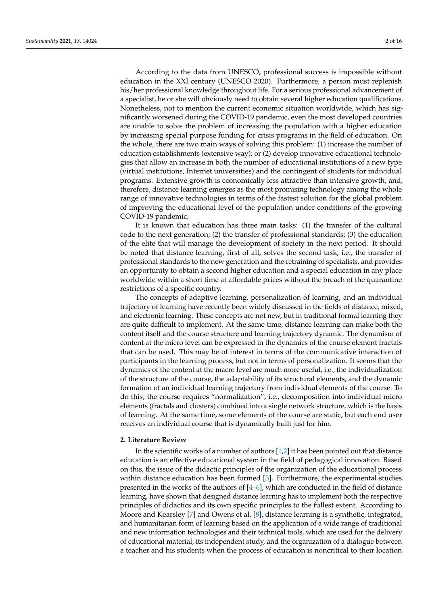According to the data from UNESCO, professional success is impossible without education in the XXI century (UNESCO 2020). Furthermore, a person must replenish his/her professional knowledge throughout life. For a serious professional advancement of a specialist, he or she will obviously need to obtain several higher education qualifications. Nonetheless, not to mention the current economic situation worldwide, which has significantly worsened during the COVID-19 pandemic, even the most developed countries are unable to solve the problem of increasing the population with a higher education by increasing special purpose funding for crisis programs in the field of education. On the whole, there are two main ways of solving this problem: (1) increase the number of education establishments (extensive way); or (2) develop innovative educational technologies that allow an increase in both the number of educational institutions of a new type (virtual institutions, Internet universities) and the contingent of students for individual programs. Extensive growth is economically less attractive than intensive growth, and, therefore, distance learning emerges as the most promising technology among the whole range of innovative technologies in terms of the fastest solution for the global problem of improving the educational level of the population under conditions of the growing COVID-19 pandemic.

It is known that education has three main tasks: (1) the transfer of the cultural code to the next generation; (2) the transfer of professional standards; (3) the education of the elite that will manage the development of society in the next period. It should be noted that distance learning, first of all, solves the second task, i.e., the transfer of professional standards to the new generation and the retraining of specialists, and provides an opportunity to obtain a second higher education and a special education in any place worldwide within a short time at affordable prices without the breach of the quarantine restrictions of a specific country.

The concepts of adaptive learning, personalization of learning, and an individual trajectory of learning have recently been widely discussed in the fields of distance, mixed, and electronic learning. These concepts are not new, but in traditional formal learning they are quite difficult to implement. At the same time, distance learning can make both the content itself and the course structure and learning trajectory dynamic. The dynamism of content at the micro level can be expressed in the dynamics of the course element fractals that can be used. This may be of interest in terms of the communicative interaction of participants in the learning process, but not in terms of personalization. It seems that the dynamics of the content at the macro level are much more useful, i.e., the individualization of the structure of the course, the adaptability of its structural elements, and the dynamic formation of an individual learning trajectory from individual elements of the course. To do this, the course requires "normalization", i.e., decomposition into individual micro elements (fractals and clusters) combined into a single network structure, which is the basis of learning. At the same time, some elements of the course are static, but each end user receives an individual course that is dynamically built just for him.

### **2. Literature Review**

In the scientific works of a number of authors  $[1,2]$  $[1,2]$  it has been pointed out that distance education is an effective educational system in the field of pedagogical innovation. Based on this, the issue of the didactic principles of the organization of the educational process within distance education has been formed [\[3\]](#page-13-2). Furthermore, the experimental studies presented in the works of the authors of [\[4](#page-13-3)[–6\]](#page-13-4), which are conducted in the field of distance learning, have shown that designed distance learning has to implement both the respective principles of didactics and its own specific principles to the fullest extent. According to Moore and Kearsley [\[7\]](#page-13-5) and Owens et al. [\[8\]](#page-14-0), distance learning is a synthetic, integrated, and humanitarian form of learning based on the application of a wide range of traditional and new information technologies and their technical tools, which are used for the delivery of educational material, its independent study, and the organization of a dialogue between a teacher and his students when the process of education is noncritical to their location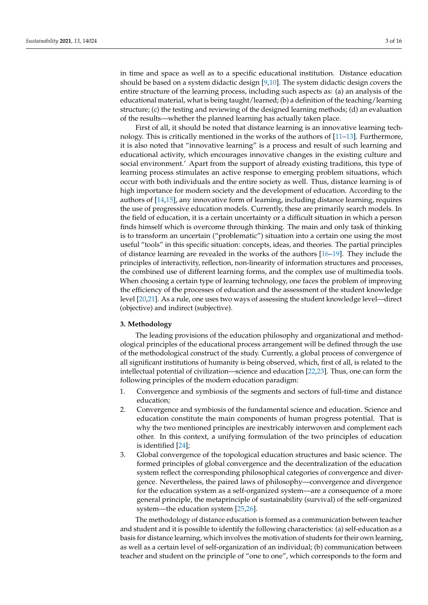in time and space as well as to a specific educational institution. Distance education should be based on a system didactic design [\[9,](#page-14-1)[10\]](#page-14-2). The system didactic design covers the entire structure of the learning process, including such aspects as: (a) an analysis of the educational material, what is being taught/learned; (b) a definition of the teaching/learning structure; (c) the testing and reviewing of the designed learning methods; (d) an evaluation of the results—whether the planned learning has actually taken place.

First of all, it should be noted that distance learning is an innovative learning technology. This is critically mentioned in the works of the authors of [\[11–](#page-14-3)[13\]](#page-14-4). Furthermore, it is also noted that "innovative learning" is a process and result of such learning and educational activity, which encourages innovative changes in the existing culture and social environment.' Apart from the support of already existing traditions, this type of learning process stimulates an active response to emerging problem situations, which occur with both individuals and the entire society as well. Thus, distance learning is of high importance for modern society and the development of education. According to the authors of [\[14](#page-14-5)[,15\]](#page-14-6), any innovative form of learning, including distance learning, requires the use of progressive education models. Currently, these are primarily search models. In the field of education, it is a certain uncertainty or a difficult situation in which a person finds himself which is overcome through thinking. The main and only task of thinking is to transform an uncertain ("problematic") situation into a certain one using the most useful "tools" in this specific situation: concepts, ideas, and theories. The partial principles of distance learning are revealed in the works of the authors [\[16–](#page-14-7)[19\]](#page-14-8). They include the principles of interactivity, reflection, non-linearity of information structures and processes, the combined use of different learning forms, and the complex use of multimedia tools. When choosing a certain type of learning technology, one faces the problem of improving the efficiency of the processes of education and the assessment of the student knowledge level [\[20,](#page-14-9)[21\]](#page-14-10). As a rule, one uses two ways of assessing the student knowledge level—direct (objective) and indirect (subjective).

#### **3. Methodology**

The leading provisions of the education philosophy and organizational and methodological principles of the educational process arrangement will be defined through the use of the methodological construct of the study. Currently, a global process of convergence of all significant institutions of humanity is being observed, which, first of all, is related to the intellectual potential of civilization—science and education [\[22,](#page-14-11)[23\]](#page-14-12). Thus, one can form the following principles of the modern education paradigm:

- 1. Convergence and symbiosis of the segments and sectors of full-time and distance education;
- 2. Convergence and symbiosis of the fundamental science and education. Science and education constitute the main components of human progress potential. That is why the two mentioned principles are inextricably interwoven and complement each other. In this context, a unifying formulation of the two principles of education is identified [\[24\]](#page-14-13);
- 3. Global convergence of the topological education structures and basic science. The formed principles of global convergence and the decentralization of the education system reflect the corresponding philosophical categories of convergence and divergence. Nevertheless, the paired laws of philosophy—convergence and divergence for the education system as a self-organized system—are a consequence of a more general principle, the metaprinciple of sustainability (survival) of the self-organized system—the education system [\[25,](#page-14-14)[26\]](#page-14-15).

The methodology of distance education is formed as a communication between teacher and student and it is possible to identify the following characteristics: (a) self-education as a basis for distance learning, which involves the motivation of students for their own learning, as well as a certain level of self-organization of an individual; (b) communication between teacher and student on the principle of "one to one", which corresponds to the form and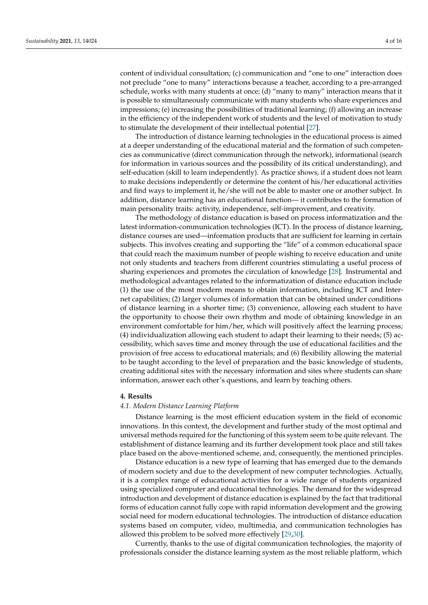content of individual consultation; (c) communication and "one to one" interaction does not preclude "one to many" interactions because a teacher, according to a pre-arranged schedule, works with many students at once; (d) "many to many" interaction means that it is possible to simultaneously communicate with many students who share experiences and impressions; (e) increasing the possibilities of traditional learning; (f) allowing an increase in the efficiency of the independent work of students and the level of motivation to study to stimulate the development of their intellectual potential [\[27\]](#page-14-16).

The introduction of distance learning technologies in the educational process is aimed at a deeper understanding of the educational material and the formation of such competencies as communicative (direct communication through the network), informational (search for information in various sources and the possibility of its critical understanding), and self-education (skill to learn independently). As practice shows, if a student does not learn to make decisions independently or determine the content of his/her educational activities and find ways to implement it, he/she will not be able to master one or another subject. In addition, distance learning has an educational function— it contributes to the formation of main personality traits: activity, independence, self-improvement, and creativity.

The methodology of distance education is based on process informatization and the latest information-communication technologies (ICT). In the process of distance learning, distance courses are used—information products that are sufficient for learning in certain subjects. This involves creating and supporting the "life" of a common educational space that could reach the maximum number of people wishing to receive education and unite not only students and teachers from different countries stimulating a useful process of sharing experiences and promotes the circulation of knowledge [\[28\]](#page-14-17). Instrumental and methodological advantages related to the informatization of distance education include (1) the use of the most modern means to obtain information, including ICT and Internet capabilities; (2) larger volumes of information that can be obtained under conditions of distance learning in a shorter time; (3) convenience, allowing each student to have the opportunity to choose their own rhythm and mode of obtaining knowledge in an environment comfortable for him/her, which will positively affect the learning process; (4) individualization allowing each student to adapt their learning to their needs; (5) accessibility, which saves time and money through the use of educational facilities and the provision of free access to educational materials; and (6) flexibility allowing the material to be taught according to the level of preparation and the basic knowledge of students, creating additional sites with the necessary information and sites where students can share information, answer each other's questions, and learn by teaching others.

#### **4. Results**

#### *4.1. Modern Distance Learning Platform*

Distance learning is the most efficient education system in the field of economic innovations. In this context, the development and further study of the most optimal and universal methods required for the functioning of this system seem to be quite relevant. The establishment of distance learning and its further development took place and still takes place based on the above-mentioned scheme, and, consequently, the mentioned principles.

Distance education is a new type of learning that has emerged due to the demands of modern society and due to the development of new computer technologies. Actually, it is a complex range of educational activities for a wide range of students organized using specialized computer and educational technologies. The demand for the widespread introduction and development of distance education is explained by the fact that traditional forms of education cannot fully cope with rapid information development and the growing social need for modern educational technologies. The introduction of distance education systems based on computer, video, multimedia, and communication technologies has allowed this problem to be solved more effectively [\[29](#page-14-18)[,30\]](#page-14-19).

Currently, thanks to the use of digital communication technologies, the majority of professionals consider the distance learning system as the most reliable platform, which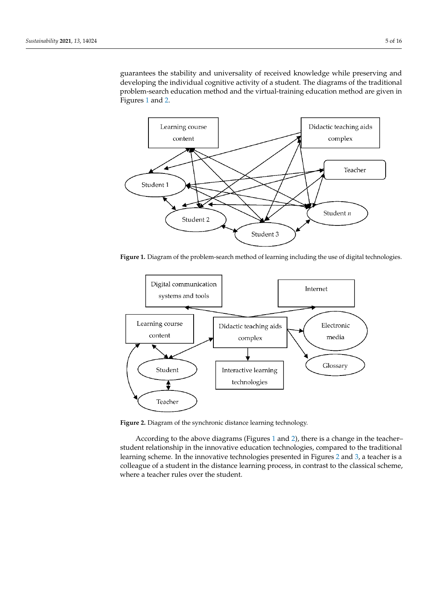guarantees the stability and universality of received knowledge while preserving and guarantees the stability and universality of received knowledge while preserving and developing the individual cognitive activity of a student. The diagrams of the traditional problem-search education method and the virtual-training education method are given in Figu[res](#page-4-0) 1 a[nd](#page-4-1) 2. guarantees the stability and universality of received knowledge while preserving and guarantees the stability and universality of feceived knowledge while preserving and

Currently, thanks to the use of digital communication technologies, the majority of

ogies has allowed this problem to be solved more effectively  $\mathcal{Z}_2$ 

<span id="page-4-0"></span>

Figure 1. Diagram of the problem-search method of learning including the use of digital technologies. rigui

<span id="page-4-1"></span>

**Figure 2.** Diagram of the synchronic distance learning technology. **Figure 2.** Diagram of the synchronic distance learning technology.

student relationship in the innovative education technologies, compared to the traditional learning scheme. In the innovative technologies present[ed](#page-5-0) in Figures 2 and 3, a teacher is a According to the above diagram[s](#page-4-0) (Figures 1 and [2\)](#page-4-1), there is a change in the teacher– colleague of a student in the distance learning process, in contrast to the classical scheme, where a teacher rules over the student.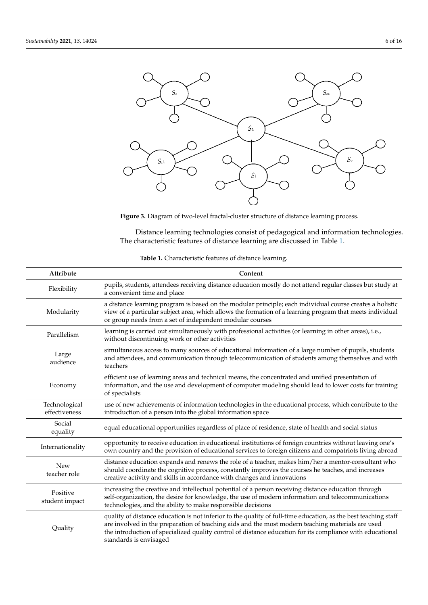<span id="page-5-0"></span>

ure 3 shows the schematic structure of the conventional division of the convention of the learning process  $\mathcal{L}$ 

**Figure 3.** Diagram of two-level fractal-cluster structure of distance learning process. **Figure 3.** Diagram of two-level fractal-cluster structure of distance learning process.

Distance learning technologies consist of pedagogical and information technologies. The characteristic features of distance learning are discussed in Table 1.

<span id="page-5-1"></span>

| Attribute                      | Content                                                                                                                                                                                                                                                                                                                                                    |
|--------------------------------|------------------------------------------------------------------------------------------------------------------------------------------------------------------------------------------------------------------------------------------------------------------------------------------------------------------------------------------------------------|
| Flexibility                    | pupils, students, attendees receiving distance education mostly do not attend regular classes but study at<br>a convenient time and place                                                                                                                                                                                                                  |
| Modularity                     | a distance learning program is based on the modular principle; each individual course creates a holistic<br>view of a particular subject area, which allows the formation of a learning program that meets individual<br>or group needs from a set of independent modular courses                                                                          |
| Parallelism                    | learning is carried out simultaneously with professional activities (or learning in other areas), i.e.,<br>without discontinuing work or other activities                                                                                                                                                                                                  |
| Large<br>audience              | simultaneous access to many sources of educational information of a large number of pupils, students<br>and attendees, and communication through telecommunication of students among themselves and with<br>teachers                                                                                                                                       |
| Economy                        | efficient use of learning areas and technical means, the concentrated and unified presentation of<br>information, and the use and development of computer modeling should lead to lower costs for training<br>of specialists                                                                                                                               |
| Technological<br>effectiveness | use of new achievements of information technologies in the educational process, which contribute to the<br>introduction of a person into the global information space                                                                                                                                                                                      |
| Social<br>equality             | equal educational opportunities regardless of place of residence, state of health and social status                                                                                                                                                                                                                                                        |
| Internationality               | opportunity to receive education in educational institutions of foreign countries without leaving one's<br>own country and the provision of educational services to foreign citizens and compatriots living abroad                                                                                                                                         |
| New<br>teacher role            | distance education expands and renews the role of a teacher, makes him/her a mentor-consultant who<br>should coordinate the cognitive process, constantly improves the courses he teaches, and increases<br>creative activity and skills in accordance with changes and innovations                                                                        |
| Positive<br>student impact     | increasing the creative and intellectual potential of a person receiving distance education through<br>self-organization, the desire for knowledge, the use of modern information and telecommunications<br>technologies, and the ability to make responsible decisions                                                                                    |
| Quality                        | quality of distance education is not inferior to the quality of full-time education, as the best teaching staff<br>are involved in the preparation of teaching aids and the most modern teaching materials are used<br>the introduction of specialized quality control of distance education for its compliance with educational<br>standards is envisaged |

| Table 1. Characteristic features of distance learning. |  |
|--------------------------------------------------------|--|
|--------------------------------------------------------|--|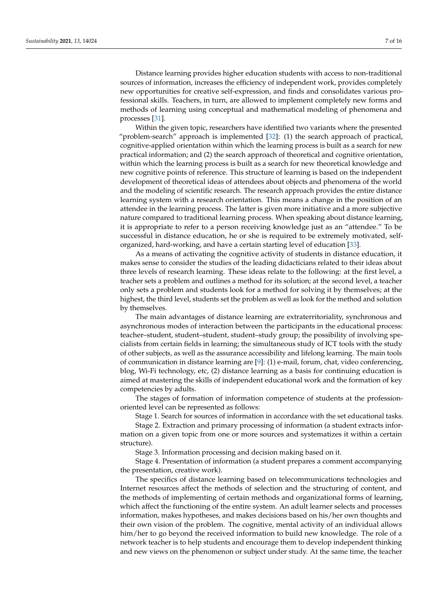Distance learning provides higher education students with access to non-traditional sources of information, increases the efficiency of independent work, provides completely new opportunities for creative self-expression, and finds and consolidates various professional skills. Teachers, in turn, are allowed to implement completely new forms and methods of learning using conceptual and mathematical modeling of phenomena and processes [\[31\]](#page-14-20).

Within the given topic, researchers have identified two variants where the presented "problem-search" approach is implemented [\[32\]](#page-14-21): (1) the search approach of practical, cognitive-applied orientation within which the learning process is built as a search for new practical information; and (2) the search approach of theoretical and cognitive orientation, within which the learning process is built as a search for new theoretical knowledge and new cognitive points of reference. This structure of learning is based on the independent development of theoretical ideas of attendees about objects and phenomena of the world and the modeling of scientific research. The research approach provides the entire distance learning system with a research orientation. This means a change in the position of an attendee in the learning process. The latter is given more initiative and a more subjective nature compared to traditional learning process. When speaking about distance learning, it is appropriate to refer to a person receiving knowledge just as an "attendee." To be successful in distance education, he or she is required to be extremely motivated, selforganized, hard-working, and have a certain starting level of education [\[33\]](#page-14-22).

As a means of activating the cognitive activity of students in distance education, it makes sense to consider the studies of the leading didacticians related to their ideas about three levels of research learning. These ideas relate to the following: at the first level, a teacher sets a problem and outlines a method for its solution; at the second level, a teacher only sets a problem and students look for a method for solving it by themselves; at the highest, the third level, students set the problem as well as look for the method and solution by themselves.

The main advantages of distance learning are extraterritoriality, synchronous and asynchronous modes of interaction between the participants in the educational process: teacher–student, student–student, student–study group; the possibility of involving specialists from certain fields in learning; the simultaneous study of ICT tools with the study of other subjects, as well as the assurance accessibility and lifelong learning. The main tools of communication in distance learning are [\[9\]](#page-14-1): (1) e-mail, forum, chat, video conferencing, blog, Wi-Fi technology, etc, (2) distance learning as a basis for continuing education is aimed at mastering the skills of independent educational work and the formation of key competencies by adults.

The stages of formation of information competence of students at the professionoriented level can be represented as follows:

Stage 1. Search for sources of information in accordance with the set educational tasks.

Stage 2. Extraction and primary processing of information (a student extracts information on a given topic from one or more sources and systematizes it within a certain structure).

Stage 3. Information processing and decision making based on it.

Stage 4. Presentation of information (a student prepares a comment accompanying the presentation, creative work).

The specifics of distance learning based on telecommunications technologies and Internet resources affect the methods of selection and the structuring of content, and the methods of implementing of certain methods and organizational forms of learning, which affect the functioning of the entire system. An adult learner selects and processes information, makes hypotheses, and makes decisions based on his/her own thoughts and their own vision of the problem. The cognitive, mental activity of an individual allows him/her to go beyond the received information to build new knowledge. The role of a network teacher is to help students and encourage them to develop independent thinking and new views on the phenomenon or subject under study. At the same time, the teacher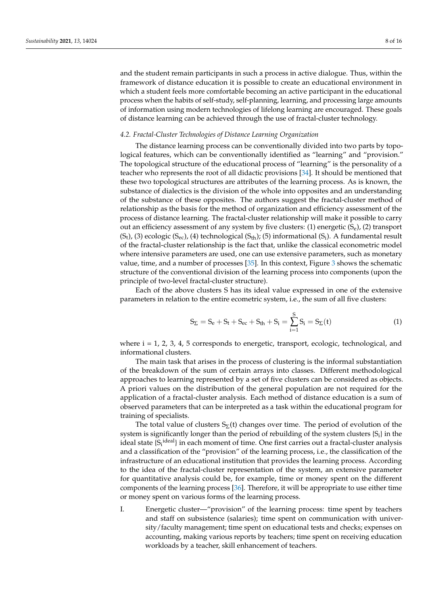and the student remain participants in such a process in active dialogue. Thus, within the framework of distance education it is possible to create an educational environment in which a student feels more comfortable becoming an active participant in the educational process when the habits of self-study, self-planning, learning, and processing large amounts of information using modern technologies of lifelong learning are encouraged. These goals of distance learning can be achieved through the use of fractal-cluster technology.

#### *4.2. Fractal-Cluster Technologies of Distance Learning Organization*

The distance learning process can be conventionally divided into two parts by topological features, which can be conventionally identified as "learning" and "provision." The topological structure of the educational process of "learning" is the personality of a teacher who represents the root of all didactic provisions [\[34\]](#page-14-23). It should be mentioned that these two topological structures are attributes of the learning process. As is known, the substance of dialectics is the division of the whole into opposites and an understanding of the substance of these opposites. The authors suggest the fractal-cluster method of relationship as the basis for the method of organization and efficiency assessment of the process of distance learning. The fractal-cluster relationship will make it possible to carry out an efficiency assessment of any system by five clusters: (1) energetic  $(S_e)$ , (2) transport  $(S_t)$ , (3) ecologic  $(S_{ec})$ , (4) technological  $(S_{th})$ ; (5) informational  $(S_i)$ . A fundamental result of the fractal-cluster relationship is the fact that, unlike the classical econometric model where intensive parameters are used, one can use extensive parameters, such as monetary value, time, and a number of processes [\[35\]](#page-14-24). In this context, Figure [3](#page-5-0) shows the schematic structure of the conventional division of the learning process into components (upon the principle of two-level fractal-cluster structure).

Each of the above clusters S has its ideal value expressed in one of the extensive parameters in relation to the entire ecometric system, i.e., the sum of all five clusters:

$$
S_{\Sigma} = S_e + S_t + S_{ec} + S_{th} + S_i = \sum_{i=1}^{S} S_i = S_{\Sigma}(t)
$$
\n(1)

where  $i = 1, 2, 3, 4, 5$  corresponds to energetic, transport, ecologic, technological, and informational clusters.

The main task that arises in the process of clustering is the informal substantiation of the breakdown of the sum of certain arrays into classes. Different methodological approaches to learning represented by a set of five clusters can be considered as objects. A priori values on the distribution of the general population are not required for the application of a fractal-cluster analysis. Each method of distance education is a sum of observed parameters that can be interpreted as a task within the educational program for training of specialists.

The total value of clusters  $S_{\Sigma}(t)$  changes over time. The period of evolution of the system is significantly longer than the period of rebuilding of the system clusters  $\{S_i\}$  in the ideal state {S<sub>i</sub><sup>ideal</sup>} in each moment of time. One first carries out a fractal-cluster analysis and a classification of the "provision" of the learning process, i.e., the classification of the infrastructure of an educational institution that provides the learning process. According to the idea of the fractal-cluster representation of the system, an extensive parameter for quantitative analysis could be, for example, time or money spent on the different components of the learning process [\[36\]](#page-14-25). Therefore, it will be appropriate to use either time or money spent on various forms of the learning process.

I. Energetic cluster—"provision" of the learning process: time spent by teachers and staff on subsistence (salaries); time spent on communication with university/faculty management; time spent on educational tests and checks; expenses on accounting, making various reports by teachers; time spent on receiving education workloads by a teacher, skill enhancement of teachers.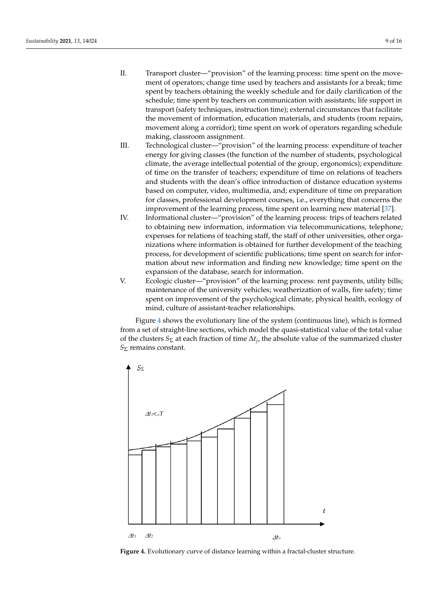- II. Transport cluster—"provision" of the learning process: time spent on the movement of operators; change time used by teachers and assistants for a break; time spent by teachers obtaining the weekly schedule and for daily clarification of the schedule; time spent by teachers on communication with assistants; life support in transport (safety techniques, instruction time); external circumstances that facilitate the movement of information, education materials, and students (room repairs, movement along a corridor); time spent on work of operators regarding schedule making, classroom assignment.
- III. Technological cluster—"provision" of the learning process: expenditure of teacher energy for giving classes (the function of the number of students, psychological climate, the average intellectual potential of the group, ergonomics); expenditure of time on the transfer of teachers; expenditure of time on relations of teachers and students with the dean's office introduction of distance education systems based on computer, video, multimedia, and; expenditure of time on preparation for classes, professional development courses, i.e., everything that concerns the improvement of the learning process, time spent on learning new material [\[37\]](#page-14-26).
- IV. Informational cluster—"provision" of the learning process: trips of teachers related to obtaining new information, information via telecommunications, telephone; expenses for relations of teaching staff, the staff of other universities, other organizations where information is obtained for further development of the teaching process, for development of scientific publications; time spent on search for information about new information and finding new knowledge; time spent on the expansion of the database, search for information.
	- V. Ecologic cluster—"provision" of the learning process: rent payments, utility bills; maintenance of the university vehicles; weatherization of walls, fire safety; time spent on improvement of the psychological climate, physical health, ecology of mind, culture of assistant-teacher relationships.

Figure 4 shows the evolutionary line of the system (continuous line), which is formed from a set of straight-line sections, which model the quasi-statistical value of the total value of the clusters  $S_{\Sigma}$  at each fraction of time  $\Delta t_j$ , the absolute value of the summarized cluster  $S_{\Sigma}$  remains constant.

<span id="page-8-0"></span>

**Figure 4.** Evolutionary curve of distance learning within a fractal-cluster structure. **Figure 4.** Evolutionary curve of distance learning within a fractal-cluster structure.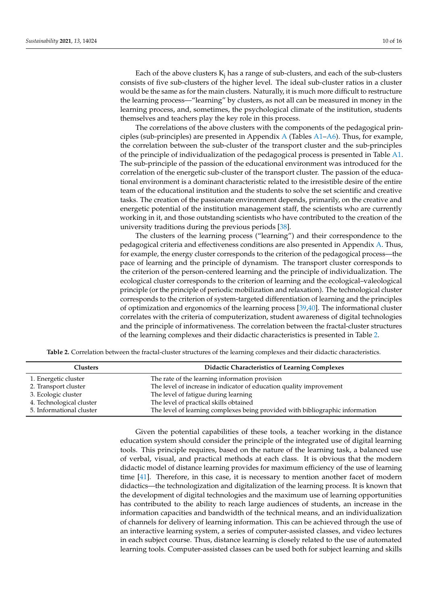Each of the above clusters  $K_i$  has a range of sub-clusters, and each of the sub-clusters consists of five sub-clusters of the higher level. The ideal sub-cluster ratios in a cluster would be the same as for the main clusters. Naturally, it is much more difficult to restructure the learning process—"learning" by clusters, as not all can be measured in money in the learning process, and, sometimes, the psychological climate of the institution, students themselves and teachers play the key role in this process.

The correlations of the above clusters with the components of the pedagogical principles (sub-principles) are presented in Appendix [A](#page-12-0) (Tables [A1](#page-12-1)[–A6\)](#page-13-6). Thus, for example, the correlation between the sub-cluster of the transport cluster and the sub-principles of the principle of individualization of the pedagogical process is presented in Table [A1.](#page-12-1) The sub-principle of the passion of the educational environment was introduced for the correlation of the energetic sub-cluster of the transport cluster. The passion of the educational environment is a dominant characteristic related to the irresistible desire of the entire team of the educational institution and the students to solve the set scientific and creative tasks. The creation of the passionate environment depends, primarily, on the creative and energetic potential of the institution management staff, the scientists who are currently working in it, and those outstanding scientists who have contributed to the creation of the university traditions during the previous periods [\[38\]](#page-14-27).

The clusters of the learning process ("learning") and their correspondence to the pedagogical criteria and effectiveness conditions are also presented in Appendix [A.](#page-12-0) Thus, for example, the energy cluster corresponds to the criterion of the pedagogical process—the pace of learning and the principle of dynamism. The transport cluster corresponds to the criterion of the person-centered learning and the principle of individualization. The ecological cluster corresponds to the criterion of learning and the ecological–valeological principle (or the principle of periodic mobilization and relaxation). The technological cluster corresponds to the criterion of system-targeted differentiation of learning and the principles of optimization and ergonomics of the learning process [\[39](#page-14-28)[,40\]](#page-14-29). The informational cluster correlates with the criteria of computerization, student awareness of digital technologies and the principle of informativeness. The correlation between the fractal-cluster structures of the learning complexes and their didactic characteristics is presented in Table [2.](#page-9-0)

<span id="page-9-0"></span>

| <b>Clusters</b>          | <b>Didactic Characteristics of Learning Complexes</b>                         |
|--------------------------|-------------------------------------------------------------------------------|
| 1. Energetic cluster     | The rate of the learning information provision                                |
| 2. Transport cluster     | The level of increase in indicator of education quality improvement           |
| 3. Ecologic cluster      | The level of fatigue during learning                                          |
| 4. Technological cluster | The level of practical skills obtained                                        |
| 5. Informational cluster | The level of learning complexes being provided with bibliographic information |

Given the potential capabilities of these tools, a teacher working in the distance education system should consider the principle of the integrated use of digital learning tools. This principle requires, based on the nature of the learning task, a balanced use of verbal, visual, and practical methods at each class. It is obvious that the modern didactic model of distance learning provides for maximum efficiency of the use of learning time [\[41\]](#page-15-0). Therefore, in this case, it is necessary to mention another facet of modern didactics—the technologization and digitalization of the learning process. It is known that the development of digital technologies and the maximum use of learning opportunities has contributed to the ability to reach large audiences of students, an increase in the information capacities and bandwidth of the technical means, and an individualization of channels for delivery of learning information. This can be achieved through the use of an interactive learning system, a series of computer-assisted classes, and video lectures in each subject course. Thus, distance learning is closely related to the use of automated learning tools. Computer-assisted classes can be used both for subject learning and skills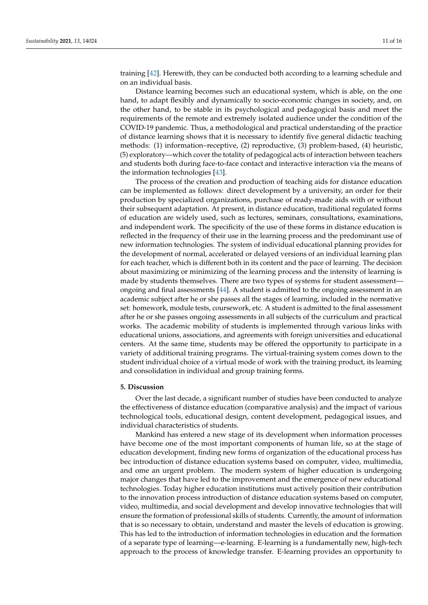training [\[42\]](#page-15-1). Herewith, they can be conducted both according to a learning schedule and on an individual basis.

Distance learning becomes such an educational system, which is able, on the one hand, to adapt flexibly and dynamically to socio-economic changes in society, and, on the other hand, to be stable in its psychological and pedagogical basis and meet the requirements of the remote and extremely isolated audience under the condition of the COVID-19 pandemic. Thus, a methodological and practical understanding of the practice of distance learning shows that it is necessary to identify five general didactic teaching methods: (1) information–receptive, (2) reproductive, (3) problem-based, (4) heuristic, (5) exploratory—which cover the totality of pedagogical acts of interaction between teachers and students both during face-to-face contact and interactive interaction via the means of the information technologies [\[43\]](#page-15-2).

The process of the creation and production of teaching aids for distance education can be implemented as follows: direct development by a university, an order for their production by specialized organizations, purchase of ready-made aids with or without their subsequent adaptation. At present, in distance education, traditional regulated forms of education are widely used, such as lectures, seminars, consultations, examinations, and independent work. The specificity of the use of these forms in distance education is reflected in the frequency of their use in the learning process and the predominant use of new information technologies. The system of individual educational planning provides for the development of normal, accelerated or delayed versions of an individual learning plan for each teacher, which is different both in its content and the pace of learning. The decision about maximizing or minimizing of the learning process and the intensity of learning is made by students themselves. There are two types of systems for student assessmentongoing and final assessments [\[44\]](#page-15-3). A student is admitted to the ongoing assessment in an academic subject after he or she passes all the stages of learning, included in the normative set: homework, module tests, coursework, etc. A student is admitted to the final assessment after he or she passes ongoing assessments in all subjects of the curriculum and practical works. The academic mobility of students is implemented through various links with educational unions, associations, and agreements with foreign universities and educational centers. At the same time, students may be offered the opportunity to participate in a variety of additional training programs. The virtual-training system comes down to the student individual choice of a virtual mode of work with the training product, its learning and consolidation in individual and group training forms.

#### **5. Discussion**

Over the last decade, a significant number of studies have been conducted to analyze the effectiveness of distance education (comparative analysis) and the impact of various technological tools, educational design, content development, pedagogical issues, and individual characteristics of students.

Mankind has entered a new stage of its development when information processes have become one of the most important components of human life, so at the stage of education development, finding new forms of organization of the educational process has bec introduction of distance education systems based on computer, video, multimedia, and ome an urgent problem. The modern system of higher education is undergoing major changes that have led to the improvement and the emergence of new educational technologies. Today higher education institutions must actively position their contribution to the innovation process introduction of distance education systems based on computer, video, multimedia, and social development and develop innovative technologies that will ensure the formation of professional skills of students. Currently, the amount of information that is so necessary to obtain, understand and master the levels of education is growing. This has led to the introduction of information technologies in education and the formation of a separate type of learning—e-learning. E-learning is a fundamentally new, high-tech approach to the process of knowledge transfer. E-learning provides an opportunity to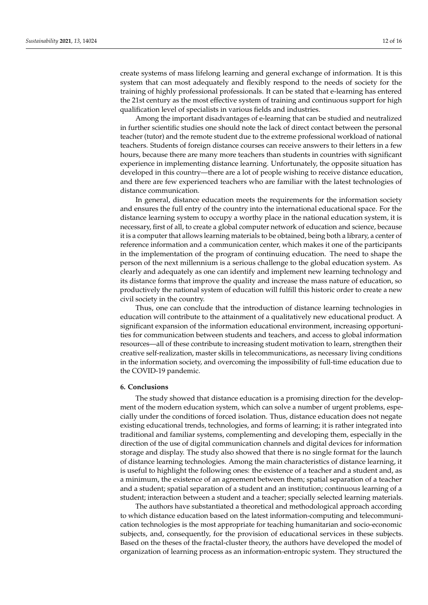create systems of mass lifelong learning and general exchange of information. It is this system that can most adequately and flexibly respond to the needs of society for the training of highly professional professionals. It can be stated that e-learning has entered the 21st century as the most effective system of training and continuous support for high qualification level of specialists in various fields and industries.

Among the important disadvantages of e-learning that can be studied and neutralized in further scientific studies one should note the lack of direct contact between the personal teacher (tutor) and the remote student due to the extreme professional workload of national teachers. Students of foreign distance courses can receive answers to their letters in a few hours, because there are many more teachers than students in countries with significant experience in implementing distance learning. Unfortunately, the opposite situation has developed in this country—there are a lot of people wishing to receive distance education, and there are few experienced teachers who are familiar with the latest technologies of distance communication.

In general, distance education meets the requirements for the information society and ensures the full entry of the country into the international educational space. For the distance learning system to occupy a worthy place in the national education system, it is necessary, first of all, to create a global computer network of education and science, because it is a computer that allows learning materials to be obtained, being both a library, a center of reference information and a communication center, which makes it one of the participants in the implementation of the program of continuing education. The need to shape the person of the next millennium is a serious challenge to the global education system. As clearly and adequately as one can identify and implement new learning technology and its distance forms that improve the quality and increase the mass nature of education, so productively the national system of education will fulfill this historic order to create a new civil society in the country.

Thus, one can conclude that the introduction of distance learning technologies in education will contribute to the attainment of a qualitatively new educational product. A significant expansion of the information educational environment, increasing opportunities for communication between students and teachers, and access to global information resources—all of these contribute to increasing student motivation to learn, strengthen their creative self-realization, master skills in telecommunications, as necessary living conditions in the information society, and overcoming the impossibility of full-time education due to the COVID-19 pandemic.

#### **6. Conclusions**

The study showed that distance education is a promising direction for the development of the modern education system, which can solve a number of urgent problems, especially under the conditions of forced isolation. Thus, distance education does not negate existing educational trends, technologies, and forms of learning; it is rather integrated into traditional and familiar systems, complementing and developing them, especially in the direction of the use of digital communication channels and digital devices for information storage and display. The study also showed that there is no single format for the launch of distance learning technologies. Among the main characteristics of distance learning, it is useful to highlight the following ones: the existence of a teacher and a student and, as a minimum, the existence of an agreement between them; spatial separation of a teacher and a student; spatial separation of a student and an institution; continuous learning of a student; interaction between a student and a teacher; specially selected learning materials.

The authors have substantiated a theoretical and methodological approach according to which distance education based on the latest information-computing and telecommunication technologies is the most appropriate for teaching humanitarian and socio-economic subjects, and, consequently, for the provision of educational services in these subjects. Based on the theses of the fractal-cluster theory, the authors have developed the model of organization of learning process as an information-entropic system. They structured the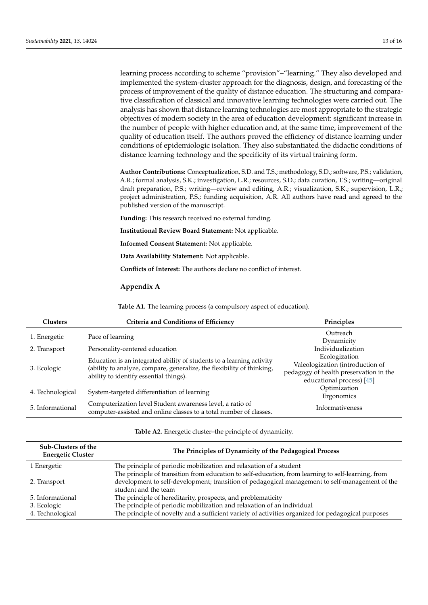learning process according to scheme "provision"–"learning." They also developed and implemented the system-cluster approach for the diagnosis, design, and forecasting of the process of improvement of the quality of distance education. The structuring and comparative classification of classical and innovative learning technologies were carried out. The analysis has shown that distance learning technologies are most appropriate to the strategic objectives of modern society in the area of education development: significant increase in the number of people with higher education and, at the same time, improvement of the quality of education itself. The authors proved the efficiency of distance learning under conditions of epidemiologic isolation. They also substantiated the didactic conditions of distance learning technology and the specificity of its virtual training form.

**Author Contributions:** Conceptualization, S.D. and T.S.; methodology, S.D.; software, P.S.; validation, A.R.; formal analysis, S.K.; investigation, L.R.; resources, S.D.; data curation, T.S.; writing—original draft preparation, P.S.; writing—review and editing, A.R.; visualization, S.K.; supervision, L.R.; project administration, P.S.; funding acquisition, A.R. All authors have read and agreed to the published version of the manuscript.

**Funding:** This research received no external funding.

**Institutional Review Board Statement:** Not applicable.

**Informed Consent Statement:** Not applicable.

**Data Availability Statement:** Not applicable.

**Conflicts of Interest:** The authors declare no conflict of interest.

<span id="page-12-0"></span>**Appendix A**

**Table A1.** The learning process (a compulsory aspect of education).

<span id="page-12-1"></span>

| Clusters         | Criteria and Conditions of Efficiency                                                                                                                                                     | Principles                                                                                                               |
|------------------|-------------------------------------------------------------------------------------------------------------------------------------------------------------------------------------------|--------------------------------------------------------------------------------------------------------------------------|
| 1. Energetic     | Pace of learning                                                                                                                                                                          | Outreach<br>Dynamicity                                                                                                   |
| 2. Transport     | Personality-centered education                                                                                                                                                            | Individualization                                                                                                        |
| 3. Ecologic      | Education is an integrated ability of students to a learning activity<br>(ability to analyze, compare, generalize, the flexibility of thinking,<br>ability to identify essential things). | Ecologization<br>Valeologization (introduction of<br>pedagogy of health preservation in the<br>educational process) [45] |
| 4. Technological | System-targeted differentiation of learning                                                                                                                                               | Optimization<br>Ergonomics                                                                                               |
| 5. Informational | Computerization level Student awareness level, a ratio of<br>computer-assisted and online classes to a total number of classes.                                                           | Informativeness                                                                                                          |

**Table A2.** Energetic cluster–the principle of dynamicity.

| Sub-Clusters of the<br><b>Energetic Cluster</b> | The Principles of Dynamicity of the Pedagogical Process                                            |
|-------------------------------------------------|----------------------------------------------------------------------------------------------------|
| 1 Energetic                                     | The principle of periodic mobilization and relaxation of a student                                 |
|                                                 | The principle of transition from education to self-education, from learning to self-learning, from |
| 2. Transport                                    | development to self-development; transition of pedagogical management to self-management of the    |
|                                                 | student and the team                                                                               |
| 5. Informational                                | The principle of hereditarity, prospects, and problematicity                                       |
| 3. Ecologic                                     | The principle of periodic mobilization and relaxation of an individual                             |
| 4. Technological                                | The principle of novelty and a sufficient variety of activities organized for pedagogical purposes |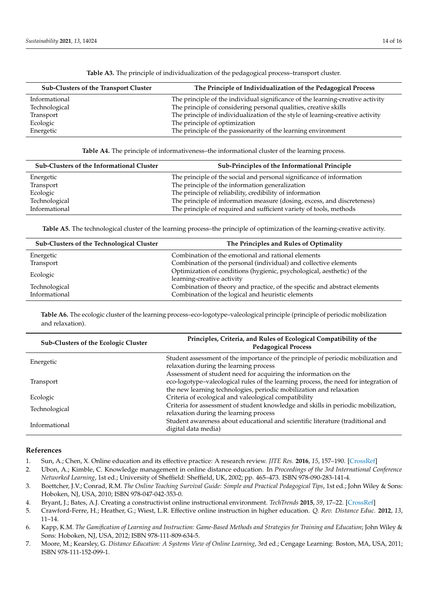| Sub-Clusters of the Transport Cluster | The Principle of Individualization of the Pedagogical Process                  |
|---------------------------------------|--------------------------------------------------------------------------------|
| Informational                         | The principle of the individual significance of the learning-creative activity |
| Technological                         | The principle of considering personal qualities, creative skills               |
| Transport                             | The principle of individualization of the style of learning-creative activity  |
| Ecologic                              | The principle of optimization                                                  |
| Energetic                             | The principle of the passionarity of the learning environment                  |

**Table A3.** The principle of individualization of the pedagogical process–transport cluster.

**Table A4.** The principle of informativeness–the informational cluster of the learning process.

| Sub-Clusters of the Informational Cluster | Sub-Principles of the Informational Principle                           |
|-------------------------------------------|-------------------------------------------------------------------------|
| Energetic                                 | The principle of the social and personal significance of information    |
| Transport                                 | The principle of the information generalization                         |
| Ecologic                                  | The principle of reliability, credibility of information                |
| Technological                             | The principle of information measure (dosing, excess, and discreteness) |
| Informational                             | The principle of required and sufficient variety of tools, methods      |

**Table A5.** The technological cluster of the learning process–the principle of optimization of the learning-creative activity.

| Sub-Clusters of the Technological Cluster | The Principles and Rules of Optimality                                    |
|-------------------------------------------|---------------------------------------------------------------------------|
| Energetic                                 | Combination of the emotional and rational elements                        |
| Transport                                 | Combination of the personal (individual) and collective elements          |
| Ecologic                                  | Optimization of conditions (hygienic, psychological, aesthetic) of the    |
|                                           | learning-creative activity                                                |
| Technological                             | Combination of theory and practice, of the specific and abstract elements |
| Informational                             | Combination of the logical and heuristic elements                         |

<span id="page-13-6"></span>**Table A6.** The ecologic cluster of the learning process–eco-logotype–valeological principle (principle of periodic mobilization and relaxation).

| Sub-Clusters of the Ecologic Cluster | Principles, Criteria, and Rules of Ecological Compatibility of the<br><b>Pedagogical Process</b>                                                                                                                               |
|--------------------------------------|--------------------------------------------------------------------------------------------------------------------------------------------------------------------------------------------------------------------------------|
| Energetic                            | Student assessment of the importance of the principle of periodic mobilization and<br>relaxation during the learning process                                                                                                   |
| Transport                            | Assessment of student need for acquiring the information on the<br>eco-logotype-valeological rules of the learning process, the need for integration of<br>the new learning technologies, periodic mobilization and relaxation |
| Ecologic                             | Criteria of ecological and valeological compatibility                                                                                                                                                                          |
| Technological                        | Criteria for assessment of student knowledge and skills in periodic mobilization,<br>relaxation during the learning process                                                                                                    |
| Informational                        | Student awareness about educational and scientific literature (traditional and<br>digital data media)                                                                                                                          |

#### **References**

- <span id="page-13-0"></span>1. Sun, A.; Chen, X. Online education and its effective practice: A research review. *JITE Res.* **2016**, *15*, 157–190. [\[CrossRef\]](http://doi.org/10.28945/3502)
- <span id="page-13-1"></span>2. Ubon, A.; Kimble, C. Knowledge management in online distance education. In *Proceedings of the 3rd International Conference Networked Learning*, 1st ed.; University of Sheffield: Sheffield, UK, 2002; pp. 465–473. ISBN 978-090-283-141-4.
- <span id="page-13-2"></span>3. Boettcher, J.V.; Conrad, R.M. *The Online Teaching Survival Guide: Simple and Practical Pedagogical Tips*, 1st ed.; John Wiley & Sons: Hoboken, NJ, USA, 2010; ISBN 978-047-042-353-0.
- <span id="page-13-3"></span>4. Bryant, J.; Bates, A.J. Creating a constructivist online instructional environment. *TechTrends* **2015**, *59*, 17–22. [\[CrossRef\]](http://doi.org/10.1007/s11528-015-0834-1)
- 5. Crawford-Ferre, H.; Heather, G.; Wiest, L.R. Effective online instruction in higher education. *Q. Rev. Distance Educ.* **2012**, *13*, 11–14.
- <span id="page-13-4"></span>6. Kapp, K.M. *The Gamification of Learning and Instruction: Game-Based Methods and Strategies for Training and Education*; John Wiley & Sons: Hoboken, NJ, USA, 2012; ISBN 978-111-809-634-5.
- <span id="page-13-5"></span>7. Moore, M.; Kearsley, G. *Distance Education: A Systems View of Online Learning*, 3rd ed.; Cengage Learning: Boston, MA, USA, 2011; ISBN 978-111-152-099-1.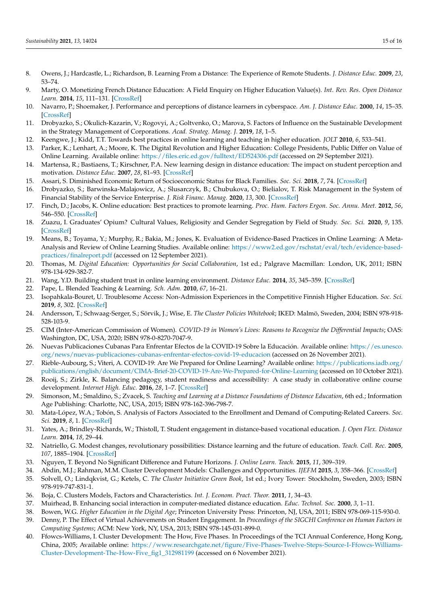- <span id="page-14-0"></span>8. Owens, J.; Hardcastle, L.; Richardson, B. Learning From a Distance: The Experience of Remote Students. *J. Distance Educ.* **2009**, *23*, 53–74.
- <span id="page-14-1"></span>9. Marty, O. Monetizing French Distance Education: A Field Enquiry on Higher Education Value(s). *Int. Rev. Res. Open Distance Learn.* **2014**, *15*, 111–131. [\[CrossRef\]](http://doi.org/10.19173/irrodl.v15i2.1677)
- <span id="page-14-2"></span>10. Navarro, P.; Shoemaker, J. Performance and perceptions of distance learners in cyberspace. *Am. J. Distance Educ.* **2000**, *14*, 15–35. [\[CrossRef\]](http://doi.org/10.1080/08923640009527052)
- <span id="page-14-3"></span>11. Drobyazko, S.; Okulich-Kazarin, V.; Rogovyi, A.; Goltvenko, O.; Marova, S. Factors of Influence on the Sustainable Development in the Strategy Management of Corporations. *Acad. Strateg. Manag. J.* **2019**, *18*, 1–5.
- 12. Keengwe, J.; Kidd, T.T. Towards best practices in online learning and teaching in higher education. *JOLT* **2010**, *6*, 533–541.
- <span id="page-14-4"></span>13. Parker, K.; Lenhart, A.; Moore, K. The Digital Revolution and Higher Education: College Presidents, Public Differ on Value of Online Learning. Available online: <https://files.eric.ed.gov/fulltext/ED524306.pdf> (accessed on 29 September 2021).
- <span id="page-14-5"></span>14. Martensa, R.; Bastiaens, T.; Kirschner, P.A. New learning design in distance education: The impact on student perception and motivation. *Distance Educ.* **2007**, *28*, 81–93. [\[CrossRef\]](http://doi.org/10.1080/01587910701305327)
- <span id="page-14-6"></span>15. Assari, S. Diminished Economic Return of Socioeconomic Status for Black Families. *Soc. Sci.* **2018**, *7*, 74. [\[CrossRef\]](http://doi.org/10.3390/socsci7050074)
- <span id="page-14-7"></span>16. Drobyazko, S.; Barwinska-Malajowicz, A.; Slusarczyk, B.; Chubukova, O.; Bielialov, T. Risk Management in the System of Financial Stability of the Service Enterprise. *J. Risk Financ. Manag.* **2020**, *13*, 300. [\[CrossRef\]](http://doi.org/10.3390/jrfm13120300)
- 17. Finch, D.; Jacobs, K. Online education: Best practices to promote learning. *Proc. Hum. Factors Ergon. Soc. Annu. Meet.* **2012**, *56*, 546–550. [\[CrossRef\]](http://doi.org/10.1177/1071181312561114)
- 18. Zuazu, I. Graduates' Opium? Cultural Values, Religiosity and Gender Segregation by Field of Study. *Soc. Sci.* **2020**, *9*, 135. [\[CrossRef\]](http://doi.org/10.3390/socsci9080135)
- <span id="page-14-8"></span>19. Means, B.; Toyama, Y.; Murphy, R.; Bakia, M.; Jones, K. Evaluation of Evidence-Based Practices in Online Learning: A Meta-Analysis and Review of Online Learning Studies. Available online: [https://www2.ed.gov/rschstat/eval/tech/evidence-based](https://www2.ed.gov/rschstat/eval/tech/evidence-based-practices/finalreport.pdf)[practices/finalreport.pdf](https://www2.ed.gov/rschstat/eval/tech/evidence-based-practices/finalreport.pdf) (accessed on 12 September 2021).
- <span id="page-14-9"></span>20. Thomas, M. *Digital Education: Opportunities for Social Collaboration*, 1st ed.; Palgrave Macmillan: London, UK, 2011; ISBN 978-134-929-382-7.
- <span id="page-14-10"></span>21. Wang, Y.D. Building student trust in online learning environment. *Distance Educ.* **2014**, *35*, 345–359. [\[CrossRef\]](http://doi.org/10.1080/01587919.2015.955267)
- <span id="page-14-11"></span>22. Pape, L. Blended Teaching & Learning. *Sch. Adm.* **2010**, *67*, 16–21.
- <span id="page-14-12"></span>23. Isopahkala-Bouret, U. Troublesome Access: Non-Admission Experiences in the Competitive Finnish Higher Education. *Soc. Sci.* **2019**, *8*, 302. [\[CrossRef\]](http://doi.org/10.3390/socsci8110302)
- <span id="page-14-13"></span>24. Andersson, T.; Schwaag-Serger, S.; Sörvik, J.; Wise, E. *The Cluster Policies Whitebook*; IKED: Malmö, Sweden, 2004; ISBN 978-918- 528-103-9.
- <span id="page-14-14"></span>25. CIM (Inter-American Commission of Women). *COVID-19 in Women's Lives: Reasons to Recognize the Differential Impacts*; OAS: Washington, DC, USA, 2020; ISBN 978-0-8270-7047-9.
- <span id="page-14-15"></span>26. Nuevas Publicaciones Cubanas Para Enfrentar Efectos de la COVID-19 Sobre la Educación. Available online: [https://es.unesco.](https://es.unesco.org/news/nuevas-publicaciones-cubanas-enfrentar-efectos-covid-19-educacion) [org/news/nuevas-publicaciones-cubanas-enfrentar-efectos-covid-19-educacion](https://es.unesco.org/news/nuevas-publicaciones-cubanas-enfrentar-efectos-covid-19-educacion) (accessed on 26 November 2021).
- <span id="page-14-16"></span>27. Rieble-Aubourg, S.; Viteri, A. COVID-19: Are We Prepared for Online Learning? Available online: [https://publications.iadb.org/](https://publications.iadb.org/publications/english/document/CIMA-Brief-20-COVID-19-Are-We-Prepared-for-Online-Learning) [publications/english/document/CIMA-Brief-20-COVID-19-Are-We-Prepared-for-Online-Learning](https://publications.iadb.org/publications/english/document/CIMA-Brief-20-COVID-19-Are-We-Prepared-for-Online-Learning) (accessed on 10 October 2021).
- <span id="page-14-17"></span>28. Rooij, S.; Zirkle, K. Balancing pedagogy, student readiness and accessibility: A case study in collaborative online course development. *Internet High. Educ.* **2016**, *28*, 1–7. [\[CrossRef\]](http://doi.org/10.1016/j.iheduc.2015.08.001)
- <span id="page-14-18"></span>29. Simonson, M.; Smaldino, S.; Zvacek, S. *Teaching and Learning at a Distance Foundations of Distance Education*, 6th ed.; Information Age Publishing: Charlotte, NC, USA, 2015; ISBN 978-162-396-798-7.
- <span id="page-14-19"></span>30. Mata-López, W.A.; Tobón, S. Analysis of Factors Associated to the Enrollment and Demand of Computing-Related Careers. *Soc. Sci.* **2019**, *8*, 1. [\[CrossRef\]](http://doi.org/10.3390/socsci8010001)
- <span id="page-14-20"></span>31. Yates, A.; Brindley-Richards, W.; Thistoll, T. Student engagement in distance-based vocational education. *J. Open Flex. Distance Learn.* **2014**, *18*, 29–44.
- <span id="page-14-21"></span>32. Natriello, G. Modest changes, revolutionary possibilities: Distance learning and the future of education. *Teach. Coll. Rec.* **2005**, *107*, 1885–1904. [\[CrossRef\]](http://doi.org/10.1111/j.1467-9620.2005.00545.x)
- <span id="page-14-22"></span>33. Nguyen, T. Beyond No Significant Difference and Future Horizons. *J. Online Learn. Teach.* **2015**, *11*, 309–319.
- <span id="page-14-23"></span>34. Abdin, M.J.; Rahman, M.M. Cluster Development Models: Challenges and Opportunities. *IJEFM* **2015**, *3*, 358–366. [\[CrossRef\]](http://doi.org/10.11648/j.ijefm.20150304.15)
- <span id="page-14-24"></span>35. Solvell, O.; Lindqkvist, G.; Ketels, C. *The Cluster Initiative Green Book*, 1st ed.; Ivory Tower: Stockholm, Sweden, 2003; ISBN 978-919-747-831-1.
- <span id="page-14-25"></span>36. Boja, C. Clusters Models, Factors and Characteristics. *Int. J. Econom. Pract. Theor.* **2011**, *1*, 34–43.
- <span id="page-14-26"></span>37. Muirhead, B. Enhancing social interaction in computer-mediated distance education. *Educ. Technol. Soc.* **2000**, *3*, 1–11.
- <span id="page-14-27"></span>38. Bowen, W.G. *Higher Education in the Digital Age*; Princeton University Press: Princeton, NJ, USA, 2011; ISBN 978-069-115-930-0.
- <span id="page-14-28"></span>39. Denny, P. The Effect of Virtual Achievements on Student Engagement. In *Proceedings of the SIGCHI Conference on Human Factors in Computing Systems*; ACM: New York, NY, USA, 2013; ISBN 978-145-031-899-0.
- <span id="page-14-29"></span>40. Ffowcs-Williams, I. Cluster Development: The How, Five Phases. In Proceedings of the TCI Annual Conference, Hong Kong, China, 2005; Available online: [https://www.researchgate.net/figure/Five-Phases-Twelve-Steps-Source-I-Ffowcs-Williams-](https://www.researchgate.net/figure/Five-Phases-Twelve-Steps-Source-I-Ffowcs-Williams-Cluster-Development-The-How-Five_fig1_312981199)[Cluster-Development-The-How-Five\\_fig1\\_312981199](https://www.researchgate.net/figure/Five-Phases-Twelve-Steps-Source-I-Ffowcs-Williams-Cluster-Development-The-How-Five_fig1_312981199) (accessed on 6 November 2021).